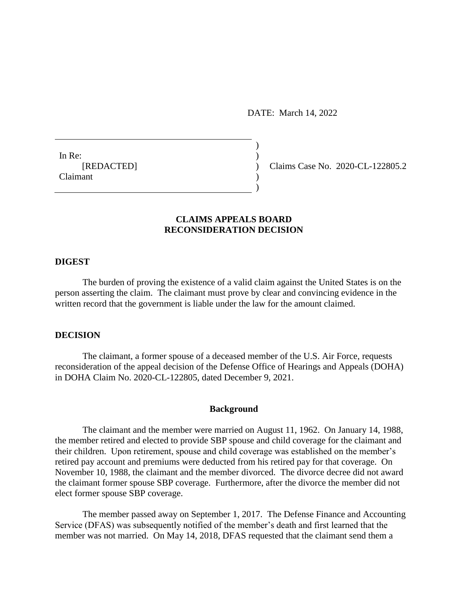DATE: March 14, 2022

 $)$ 

)

In Re:  $\qquad \qquad$ ) Claimant )

[REDACTED] ) Claims Case No. 2020-CL-122805.2

# **CLAIMS APPEALS BOARD RECONSIDERATION DECISION**

## **DIGEST**

The burden of proving the existence of a valid claim against the United States is on the person asserting the claim. The claimant must prove by clear and convincing evidence in the written record that the government is liable under the law for the amount claimed.

### **DECISION**

The claimant, a former spouse of a deceased member of the U.S. Air Force, requests reconsideration of the appeal decision of the Defense Office of Hearings and Appeals (DOHA) in DOHA Claim No. 2020-CL-122805, dated December 9, 2021.

#### **Background**

The claimant and the member were married on August 11, 1962. On January 14, 1988, the member retired and elected to provide SBP spouse and child coverage for the claimant and their children. Upon retirement, spouse and child coverage was established on the member's retired pay account and premiums were deducted from his retired pay for that coverage. On November 10, 1988, the claimant and the member divorced. The divorce decree did not award the claimant former spouse SBP coverage. Furthermore, after the divorce the member did not elect former spouse SBP coverage.

The member passed away on September 1, 2017. The Defense Finance and Accounting Service (DFAS) was subsequently notified of the member's death and first learned that the member was not married. On May 14, 2018, DFAS requested that the claimant send them a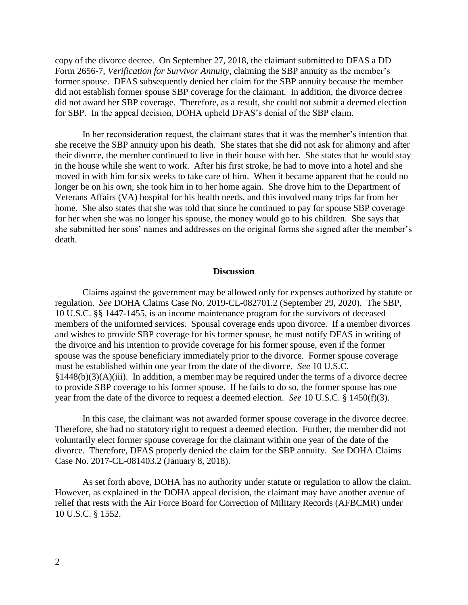copy of the divorce decree. On September 27, 2018, the claimant submitted to DFAS a DD Form 2656-7, *Verification for Survivor Annuity*, claiming the SBP annuity as the member's former spouse. DFAS subsequently denied her claim for the SBP annuity because the member did not establish former spouse SBP coverage for the claimant. In addition, the divorce decree did not award her SBP coverage. Therefore, as a result, she could not submit a deemed election for SBP. In the appeal decision, DOHA upheld DFAS's denial of the SBP claim.

In her reconsideration request, the claimant states that it was the member's intention that she receive the SBP annuity upon his death. She states that she did not ask for alimony and after their divorce, the member continued to live in their house with her. She states that he would stay in the house while she went to work. After his first stroke, he had to move into a hotel and she moved in with him for six weeks to take care of him. When it became apparent that he could no longer be on his own, she took him in to her home again. She drove him to the Department of Veterans Affairs (VA) hospital for his health needs, and this involved many trips far from her home. She also states that she was told that since he continued to pay for spouse SBP coverage for her when she was no longer his spouse, the money would go to his children. She says that she submitted her sons' names and addresses on the original forms she signed after the member's death.

#### **Discussion**

Claims against the government may be allowed only for expenses authorized by statute or regulation. *See* DOHA Claims Case No. 2019-CL-082701.2 (September 29, 2020). The SBP, 10 U.S.C. §§ 1447-1455, is an income maintenance program for the survivors of deceased members of the uniformed services. Spousal coverage ends upon divorce. If a member divorces and wishes to provide SBP coverage for his former spouse, he must notify DFAS in writing of the divorce and his intention to provide coverage for his former spouse, even if the former spouse was the spouse beneficiary immediately prior to the divorce. Former spouse coverage must be established within one year from the date of the divorce. *See* 10 U.S.C.  $§1448(b)(3)(A)(iii)$ . In addition, a member may be required under the terms of a divorce decree to provide SBP coverage to his former spouse. If he fails to do so, the former spouse has one year from the date of the divorce to request a deemed election. *See* 10 U.S.C. § 1450(f)(3).

In this case, the claimant was not awarded former spouse coverage in the divorce decree. Therefore, she had no statutory right to request a deemed election. Further, the member did not voluntarily elect former spouse coverage for the claimant within one year of the date of the divorce. Therefore, DFAS properly denied the claim for the SBP annuity. *See* DOHA Claims Case No. 2017-CL-081403.2 (January 8, 2018).

As set forth above, DOHA has no authority under statute or regulation to allow the claim. However, as explained in the DOHA appeal decision, the claimant may have another avenue of relief that rests with the Air Force Board for Correction of Military Records (AFBCMR) under 10 U.S.C. § 1552.